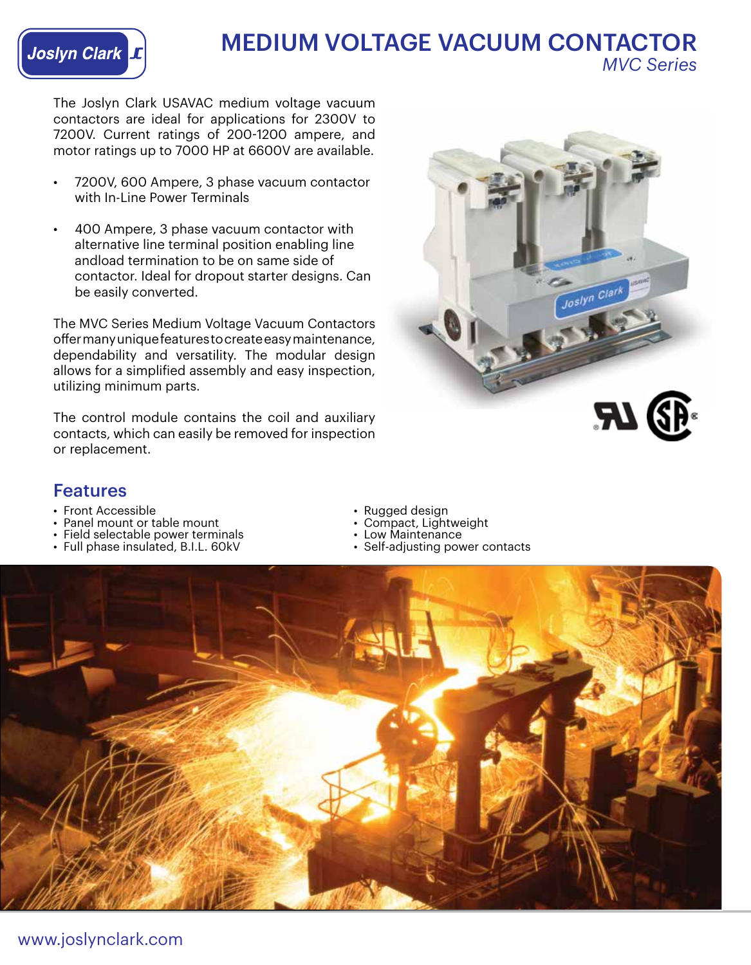

## MEDIUM VOLTAGE VACUUM CONTACTOR *MVC Series*

The Joslyn Clark USAVAC medium voltage vacuum contactors are ideal for applications for 2300V to 7200V. Current ratings of 200-1200 ampere, and motor ratings up to 7000 HP at 6600V are available.

- 7200V, 600 Ampere, 3 phase vacuum contactor with In-Line Power Terminals
- 400 Ampere, 3 phase vacuum contactor with alternative line terminal position enabling line andload termination to be on same side of contactor. Ideal for dropout starter designs. Can be easily converted.

The MVC Series Medium Voltage Vacuum Contactors offer many unique features to create easy maintenance, dependability and versatility. The modular design allows for a simplified assembly and easy inspection, utilizing minimum parts.

The control module contains the coil and auxiliary contacts, which can easily be removed for inspection or replacement.



### Features

- 
- Front Accessible Rugged design Panel mount or table mount Compact, Lightweight
- Field selectable power terminals • Low Maintenance Full phase insulated, B.I.L. 60kV Self-adjusting power contacts
- Full phase insulated, B.I.L. 60kV
- 
- 
- 
-